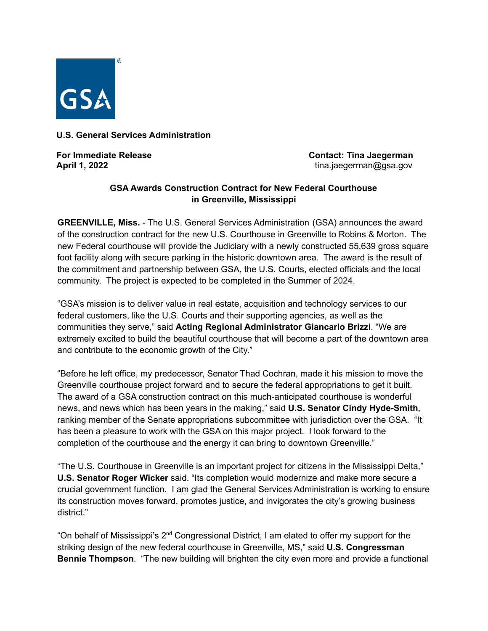

## **U.S. General Services Administration**

**For Immediate Release Contact: Tina Jaegerman April 1, 2022 April 1, 2022 tina.jaegerman@gsa.gov** 

## **GSA Awards Construction Contract for New Federal Courthouse in Greenville, Mississippi**

**GREENVILLE, Miss.** - The U.S. General Services Administration (GSA) announces the award of the construction contract for the new U.S. Courthouse in Greenville to Robins & Morton. The new Federal courthouse will provide the Judiciary with a newly constructed 55,639 gross square foot facility along with secure parking in the historic downtown area. The award is the result of the commitment and partnership between GSA, the U.S. Courts, elected officials and the local community. The project is expected to be completed in the Summer of 2024.

"GSA's mission is to deliver value in real estate, acquisition and technology services to our federal customers, like the U.S. Courts and their supporting agencies, as well as the communities they serve," said **Acting Regional Administrator Giancarlo Brizzi**. "We are extremely excited to build the beautiful courthouse that will become a part of the downtown area and contribute to the economic growth of the City."

"Before he left office, my predecessor, Senator Thad Cochran, made it his mission to move the Greenville courthouse project forward and to secure the federal appropriations to get it built. The award of a GSA construction contract on this much-anticipated courthouse is wonderful news, and news which has been years in the making," said **U.S. Senator Cindy Hyde-Smith**, ranking member of the Senate appropriations subcommittee with jurisdiction over the GSA. "It has been a pleasure to work with the GSA on this major project. I look forward to the completion of the courthouse and the energy it can bring to downtown Greenville."

"The U.S. Courthouse in Greenville is an important project for citizens in the Mississippi Delta," **U.S. Senator Roger Wicker** said. "Its completion would modernize and make more secure a crucial government function. I am glad the General Services Administration is working to ensure its construction moves forward, promotes justice, and invigorates the city's growing business district."

"On behalf of Mississippi's 2<sup>nd</sup> Congressional District, I am elated to offer my support for the striking design of the new federal courthouse in Greenville, MS," said **U.S. Congressman Bennie Thompson**. "The new building will brighten the city even more and provide a functional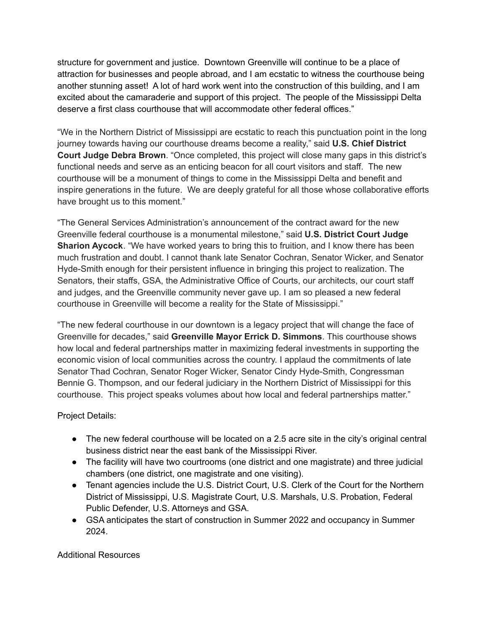structure for government and justice. Downtown Greenville will continue to be a place of attraction for businesses and people abroad, and I am ecstatic to witness the courthouse being another stunning asset! A lot of hard work went into the construction of this building, and I am excited about the camaraderie and support of this project. The people of the Mississippi Delta deserve a first class courthouse that will accommodate other federal offices."

"We in the Northern District of Mississippi are ecstatic to reach this punctuation point in the long journey towards having our courthouse dreams become a reality," said **U.S. Chief District Court Judge Debra Brown**. "Once completed, this project will close many gaps in this district's functional needs and serve as an enticing beacon for all court visitors and staff. The new courthouse will be a monument of things to come in the Mississippi Delta and benefit and inspire generations in the future. We are deeply grateful for all those whose collaborative efforts have brought us to this moment."

"The General Services Administration's announcement of the contract award for the new Greenville federal courthouse is a monumental milestone," said **U.S. District Court Judge Sharion Aycock**. "We have worked years to bring this to fruition, and I know there has been much frustration and doubt. I cannot thank late Senator Cochran, Senator Wicker, and Senator Hyde-Smith enough for their persistent influence in bringing this project to realization. The Senators, their staffs, GSA, the Administrative Office of Courts, our architects, our court staff and judges, and the Greenville community never gave up. I am so pleased a new federal courthouse in Greenville will become a reality for the State of Mississippi."

"The new federal courthouse in our downtown is a legacy project that will change the face of Greenville for decades," said **Greenville Mayor Errick D. Simmons**. This courthouse shows how local and federal partnerships matter in maximizing federal investments in supporting the economic vision of local communities across the country. I applaud the commitments of late Senator Thad Cochran, Senator Roger Wicker, Senator Cindy Hyde-Smith, Congressman Bennie G. Thompson, and our federal judiciary in the Northern District of Mississippi for this courthouse. This project speaks volumes about how local and federal partnerships matter."

Project Details:

- The new federal courthouse will be located on a 2.5 acre site in the city's original central business district near the east bank of the Mississippi River.
- The facility will have two courtrooms (one district and one magistrate) and three judicial chambers (one district, one magistrate and one visiting).
- Tenant agencies include the U.S. District Court, U.S. Clerk of the Court for the Northern District of Mississippi, U.S. Magistrate Court, U.S. Marshals, U.S. Probation, Federal Public Defender, U.S. Attorneys and GSA.
- GSA anticipates the start of construction in Summer 2022 and occupancy in Summer 2024.

Additional Resources